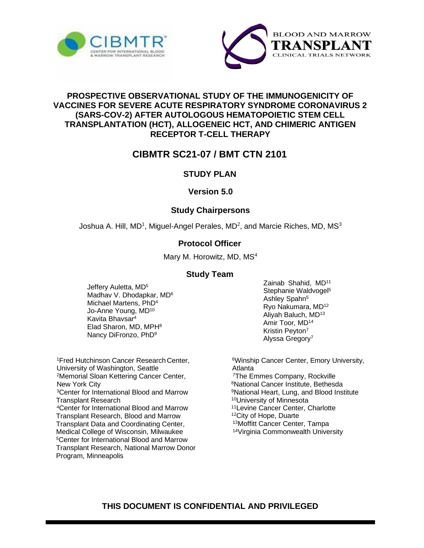



## **PROSPECTIVE OBSERVATIONAL STUDY OF THE IMMUNOGENICITY OF VACCINES FOR SEVERE ACUTE RESPIRATORY SYNDROME CORONAVIRUS 2 (SARS-COV-2) AFTER AUTOLOGOUS HEMATOPOIETIC STEM CELL TRANSPLANTATION (HCT), ALLOGENEIC HCT, AND CHIMERIC ANTIGEN RECEPTOR T-CELL THERAPY**

# **CIBMTR SC21-07 / BMT CTN 2101**

# **STUDY PLAN**

#### **Version 5.0**

## **Study Chairpersons**

Joshua A. Hill, MD<sup>1</sup>, Miguel-Angel Perales, MD<sup>2</sup>, and Marcie Riches, MD, MS<sup>3</sup>

# **Protocol Officer**

Mary M. Horowitz, MD, MS<sup>4</sup>

#### **Study Team**

Jeffery Auletta, MD<sup>5</sup> Madhav V. Dhodapkar, MD<sup>6</sup> Michael Martens, PhD<sup>4</sup> Jo-Anne Young, MD<sup>10</sup> Kavita Bhavsar<sup>4</sup> Elad Sharon, MD, MPH<sup>8</sup> Nancy DiFronzo, PhD<sup>9</sup>

<sup>1</sup> Fred Hutchinson Cancer Research Center, University of Washington, Seattle <sup>2</sup>Memorial Sloan Kettering Cancer Center, New York City <sup>3</sup>Center for International Blood and Marrow Transplant Research <sup>4</sup>Center for International Blood and Marrow Transplant Research, Blood and Marrow Transplant Data and Coordinating Center, Medical College of Wisconsin, Milwaukee <sup>5</sup>Center for International Blood and Marrow Transplant Research, National Marrow Donor Program, Minneapolis

Zainab Shahid, MD<sup>11</sup> Stephanie Waldvogel<sup>5</sup> Ashley Spahn<sup>5</sup> Ryo Nakumara, MD<sup>12</sup> Aliyah Baluch, MD<sup>13</sup> Amir Toor, MD<sup>14</sup> Kristin Peyton<sup>7</sup> Alyssa Gregory<sup>7</sup>

Winship Cancer Center, Emory University, Atlanta The Emmes Company, Rockville National Cancer Institute, Bethesda National Heart, Lung, and Blood Institute University of Minnesota Levine Cancer Center, Charlotte City of Hope, Duarte Moffitt Cancer Center, Tampa Virginia Commonwealth University

# **THIS DOCUMENT IS CONFIDENTIAL AND PRIVILEGED**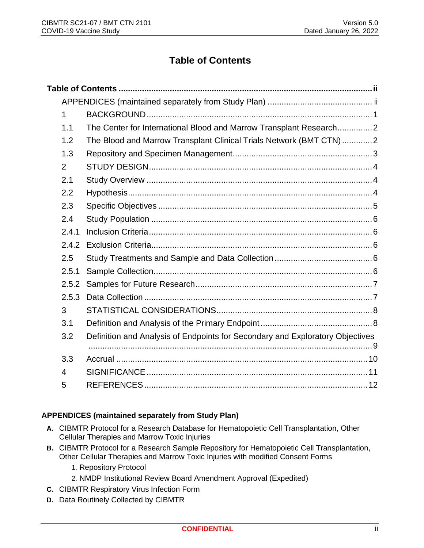# **Table of Contents**

<span id="page-1-0"></span>

| 1              |                                                                               |
|----------------|-------------------------------------------------------------------------------|
| 1.1            | The Center for International Blood and Marrow Transplant Research2            |
| 1.2            | The Blood and Marrow Transplant Clinical Trials Network (BMT CTN)2            |
| 1.3            |                                                                               |
| $\overline{2}$ |                                                                               |
| 2.1            |                                                                               |
| 2.2            |                                                                               |
| 2.3            |                                                                               |
| 2.4            |                                                                               |
| 2.4.1          |                                                                               |
| 2.4.2          |                                                                               |
| 2.5            |                                                                               |
| 2.5.1          |                                                                               |
| 2.5.2          |                                                                               |
| 2.5.3          |                                                                               |
| 3              |                                                                               |
| 3.1            |                                                                               |
| 3.2            | Definition and Analysis of Endpoints for Secondary and Exploratory Objectives |
| 3.3            |                                                                               |
| $\overline{4}$ |                                                                               |
| 5              |                                                                               |

#### <span id="page-1-1"></span>**APPENDICES (maintained separately from Study Plan)**

- **A.** CIBMTR Protocol for a Research Database for Hematopoietic Cell Transplantation, Other Cellular Therapies and Marrow Toxic Injuries
- **B.** CIBMTR Protocol for a Research Sample Repository for Hematopoietic Cell Transplantation, Other Cellular Therapies and Marrow Toxic Injuries with modified Consent Forms
	- 1. Repository Protocol
	- 2. NMDP Institutional Review Board Amendment Approval (Expedited)
- **C.** CIBMTR Respiratory Virus Infection Form
- **D.** Data Routinely Collected by CIBMTR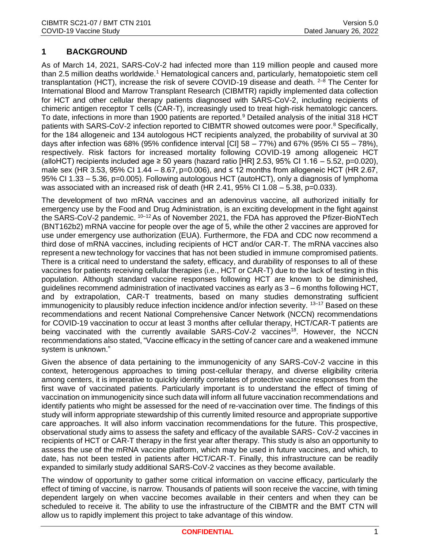# <span id="page-2-0"></span>**1 BACKGROUND**

As of March 14, 2021, SARS-CoV-2 had infected more than 119 million people and caused more than 2.5 million deaths worldwide.<sup>1</sup> Hematological cancers and, particularly, hematopoietic stem cell transplantation (HCT), increase the risk of severe COVID-19 disease and death.  $2-8$  The Center for International Blood and Marrow Transplant Research (CIBMTR) rapidly implemented data collection for HCT and other cellular therapy patients diagnosed with SARS-CoV-2, including recipients of chimeric antigen receptor T cells (CAR-T), increasingly used to treat high-risk hematologic cancers. To date, infections in more than 1900 patients are reported.<sup>9</sup> Detailed analysis of the initial 318 HCT patients with SARS-CoV-2 infection reported to CIBMTR showed outcomes were poor.<sup>8</sup> Specifically, for the 184 allogeneic and 134 autologous HCT recipients analyzed, the probability of survival at 30 days after infection was  $68\%$  (95% confidence interval [CI] 58 – 77%) and  $67\%$  (95% CI 55 – 78%), respectively. Risk factors for increased mortality following COVID-19 among allogeneic HCT (alloHCT) recipients included age  $\geq 50$  years (hazard ratio [HR] 2.53, 95% CI 1.16 – 5.52, p=0.020), male sex (HR 3.53, 95% CI 1.44 – 8.67, p=0.006), and ≤ 12 months from allogeneic HCT (HR 2.67, 95% CI 1.33 – 5.36, p=0.005). Following autologous HCT (autoHCT), only a diagnosis of lymphoma was associated with an increased risk of death (HR 2.41,  $95\%$  CI 1.08 – 5.38, p=0.033).

The development of two mRNA vaccines and an adenovirus vaccine, all authorized initially for emergency use by the Food and Drug Administration, is an exciting development in the fight against the SARS-CoV-2 pandemic.  $10^{-12}$  As of November 2021, the FDA has approved the Pfizer-BioNTech (BNT162b2) mRNA vaccine for people over the age of 5, while the other 2 vaccines are approved for use under emergency use authorization (EUA). Furthermore, the FDA and CDC now recommend a third dose of mRNA vaccines, including recipients of HCT and/or CAR-T. The mRNA vaccines also represent a new technology for vaccines that has not been studied in immune compromised patients. There is a critical need to understand the safety, efficacy, and durability of responses to all of these vaccines for patients receiving cellular therapies (i.e., HCT or CAR-T) due to the lack of testing in this population. Although standard vaccine responses following HCT are known to be diminished, guidelines recommend administration of inactivated vaccines as early as 3 – 6 months following HCT, and by extrapolation, CAR-T treatments, based on many studies demonstrating sufficient immunogenicity to plausibly reduce infection incidence and/or infection severity. <sup>13–17</sup> Based on these recommendations and recent National Comprehensive Cancer Network (NCCN) recommendations for COVID-19 vaccination to occur at least 3 months after cellular therapy, HCT/CAR-T patients are being vaccinated with the currently available SARS-CoV-2 vaccines<sup>18</sup>. However, the NCCN recommendations also stated, "Vaccine efficacy in the setting of cancer care and a weakened immune system is unknown."

Given the absence of data pertaining to the immunogenicity of any SARS-CoV-2 vaccine in this context, heterogenous approaches to timing post-cellular therapy, and diverse eligibility criteria among centers, it is imperative to quickly identify correlates of protective vaccine responses from the first wave of vaccinated patients. Particularly important is to understand the effect of timing of vaccination on immunogenicity since such data will inform all future vaccination recommendations and identify patients who might be assessed for the need of re-vaccination over time. The findings of this study will inform appropriate stewardship of this currently limited resource and appropriate supportive care approaches. It will also inform vaccination recommendations for the future. This prospective, observational study aims to assess the safety and efficacy of the available SARS- CoV-2 vaccines in recipients of HCT or CAR-T therapy in the first year after therapy. This study is also an opportunity to assess the use of the mRNA vaccine platform, which may be used in future vaccines, and which, to date, has not been tested in patients after HCT/CAR-T. Finally, this infrastructure can be readily expanded to similarly study additional SARS-CoV-2 vaccines as they become available.

The window of opportunity to gather some critical information on vaccine efficacy, particularly the effect of timing of vaccine, is narrow. Thousands of patients will soon receive the vaccine, with timing dependent largely on when vaccine becomes available in their centers and when they can be scheduled to receive it. The ability to use the infrastructure of the CIBMTR and the BMT CTN will allow us to rapidly implement this project to take advantage of this window.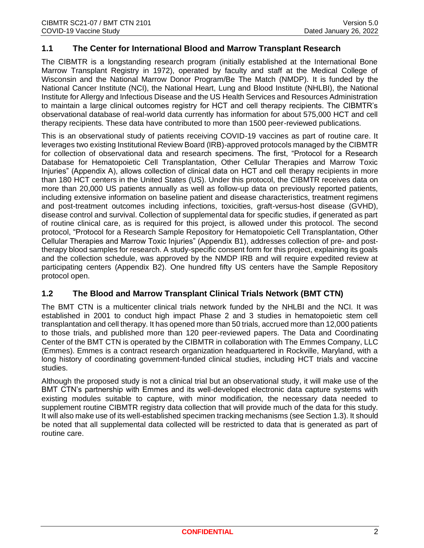## <span id="page-3-0"></span>**1.1 The Center for International Blood and Marrow Transplant Research**

The CIBMTR is a longstanding research program (initially established at the International Bone Marrow Transplant Registry in 1972), operated by faculty and staff at the Medical College of Wisconsin and the National Marrow Donor Program/Be The Match (NMDP). It is funded by the National Cancer Institute (NCI), the National Heart, Lung and Blood Institute (NHLBI), the National Institute for Allergy and Infectious Disease and the US Health Services and Resources Administration to maintain a large clinical outcomes registry for HCT and cell therapy recipients. The CIBMTR's observational database of real-world data currently has information for about 575,000 HCT and cell therapy recipients. These data have contributed to more than 1500 peer-reviewed publications.

This is an observational study of patients receiving COVID-19 vaccines as part of routine care. It leverages two existing Institutional Review Board (IRB)-approved protocols managed by the CIBMTR for collection of observational data and research specimens. The first, "Protocol for a Research Database for Hematopoietic Cell Transplantation, Other Cellular Therapies and Marrow Toxic Injuries" (Appendix A), allows collection of clinical data on HCT and cell therapy recipients in more than 180 HCT centers in the United States (US). Under this protocol, the CIBMTR receives data on more than 20,000 US patients annually as well as follow-up data on previously reported patients, including extensive information on baseline patient and disease characteristics, treatment regimens and post-treatment outcomes including infections, toxicities, graft-versus-host disease (GVHD), disease control and survival. Collection of supplemental data for specific studies, if generated as part of routine clinical care, as is required for this project, is allowed under this protocol. The second protocol, "Protocol for a Research Sample Repository for Hematopoietic Cell Transplantation, Other Cellular Therapies and Marrow Toxic Injuries" (Appendix B1), addresses collection of pre- and posttherapy blood samples for research. A study-specific consent form for this project, explaining its goals and the collection schedule, was approved by the NMDP IRB and will require expedited review at participating centers (Appendix B2). One hundred fifty US centers have the Sample Repository protocol open.

#### <span id="page-3-1"></span>**1.2 The Blood and Marrow Transplant Clinical Trials Network (BMT CTN)**

The BMT CTN is a multicenter clinical trials network funded by the NHLBI and the NCI. It was established in 2001 to conduct high impact Phase 2 and 3 studies in hematopoietic stem cell transplantation and cell therapy. It has opened more than 50 trials, accrued more than 12,000 patients to those trials, and published more than 120 peer-reviewed papers. The Data and Coordinating Center of the BMT CTN is operated by the CIBMTR in collaboration with The Emmes Company, LLC (Emmes). Emmes is a contract research organization headquartered in Rockville, Maryland, with a long history of coordinating government-funded clinical studies, including HCT trials and vaccine studies.

Although the proposed study is not a clinical trial but an observational study, it will make use of the BMT CTN's partnership with Emmes and its well-developed electronic data capture systems with existing modules suitable to capture, with minor modification, the necessary data needed to supplement routine CIBMTR registry data collection that will provide much of the data for this study. It will also make use of its well-established specimen tracking mechanisms (see Section 1.3). It should be noted that all supplemental data collected will be restricted to data that is generated as part of routine care.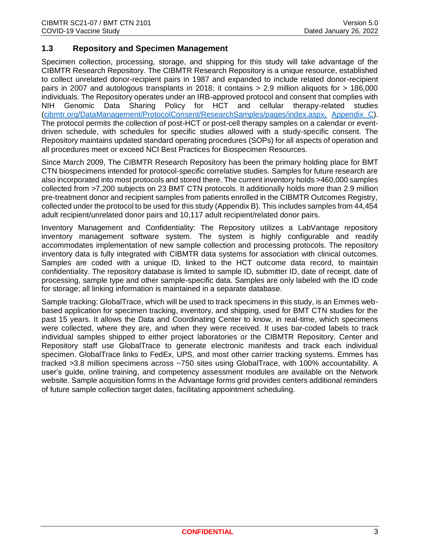#### <span id="page-4-0"></span>**1.3 Repository and Specimen Management**

Specimen collection, processing, storage, and shipping for this study will take advantage of the CIBMTR Research Repository. The CIBMTR Research Repository is a unique resource, established to collect unrelated donor-recipient pairs in 1987 and expanded to include related donor-recipient pairs in 2007 and autologous transplants in 2018; it contains > 2.9 million aliquots for > 186,000 individuals. The Repository operates under an IRB-approved protocol and consent that complies with NIH Genomic Data Sharing Policy for HCT and cellular therapy-related studies [\(cibmtr.org/DataManagement/ProtocolConsent/ResearchSamples/pages/index.aspx,](http://www.cibmtr.org/DataManagement/ProtocolConsent/ResearchSamples/pages/index.aspx) [Appendix C\)](http://www.cibmtr.org/DataManagement/ProtocolConsent/ResearchSamples/pages/index.aspx). The protocol permits the collection of post-HCT or post-cell therapy samples on a calendar or eventdriven schedule, with schedules for specific studies allowed with a study-specific consent. The Repository maintains updated standard operating procedures (SOPs) for all aspects of operation and all procedures meet or exceed NCI Best Practices for Biospecimen Resources.

Since March 2009, The CIBMTR Research Repository has been the primary holding place for BMT CTN biospecimens intended for protocol-specific correlative studies. Samples for future research are also incorporated into most protocols and stored there. The current inventory holds >460,000 samples collected from >7,200 subjects on 23 BMT CTN protocols. It additionally holds more than 2.9 million pre-treatment donor and recipient samples from patients enrolled in the CIBMTR Outcomes Registry, collected under the protocol to be used for this study (Appendix B). This includes samples from 44,454 adult recipient/unrelated donor pairs and 10,117 adult recipient/related donor pairs.

Inventory Management and Confidentiality: The Repository utilizes a LabVantage repository inventory management software system. The system is highly configurable and readily accommodates implementation of new sample collection and processing protocols. The repository inventory data is fully integrated with CIBMTR data systems for association with clinical outcomes. Samples are coded with a unique ID, linked to the HCT outcome data record, to maintain confidentiality. The repository database is limited to sample ID, submitter ID, date of receipt, date of processing, sample type and other sample-specific data. Samples are only labeled with the ID code for storage; all linking information is maintained in a separate database.

Sample tracking: GlobalTrace, which will be used to track specimens in this study, is an Emmes webbased application for specimen tracking, inventory, and shipping, used for BMT CTN studies for the past 15 years. It allows the Data and Coordinating Center to know, in real-time, which specimens were collected, where they are, and when they were received. It uses bar-coded labels to track individual samples shipped to either project laboratories or the CIBMTR Repository. Center and Repository staff use GlobalTrace to generate electronic manifests and track each individual specimen. GlobalTrace links to FedEx, UPS, and most other carrier tracking systems. Emmes has tracked >3.8 million specimens across ~750 sites using GlobalTrace, with 100% accountability. A user's guide, online training, and competency assessment modules are available on the Network website. Sample acquisition forms in the Advantage forms grid provides centers additional reminders of future sample collection target dates, facilitating appointment scheduling.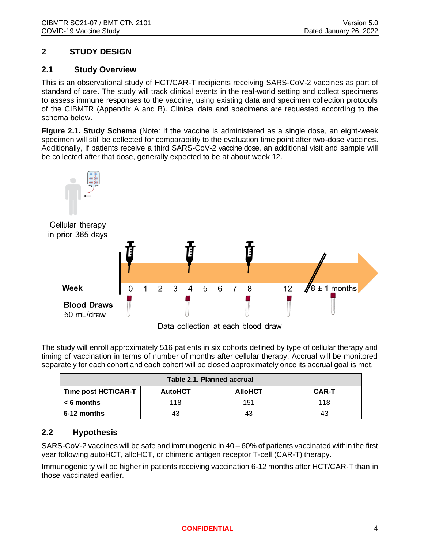# <span id="page-5-0"></span>**2 STUDY DESIGN**

#### <span id="page-5-1"></span>**2.1 Study Overview**

This is an observational study of HCT/CAR-T recipients receiving SARS-CoV-2 vaccines as part of standard of care. The study will track clinical events in the real-world setting and collect specimens to assess immune responses to the vaccine, using existing data and specimen collection protocols of the CIBMTR (Appendix A and B). Clinical data and specimens are requested according to the schema below.

**Figure 2.1. Study Schema** (Note: If the vaccine is administered as a single dose, an eight-week specimen will still be collected for comparability to the evaluation time point after two-dose vaccines. Additionally, if patients receive a third SARS-CoV-2 vaccine dose, an additional visit and sample will be collected after that dose, generally expected to be at about week 12.



The study will enroll approximately 516 patients in six cohorts defined by type of cellular therapy and timing of vaccination in terms of number of months after cellular therapy. Accrual will be monitored separately for each cohort and each cohort will be closed approximately once its accrual goal is met.

| Table 2.1. Planned accrual |                |                |              |  |  |
|----------------------------|----------------|----------------|--------------|--|--|
| Time post HCT/CAR-T        | <b>AutoHCT</b> | <b>AlloHCT</b> | <b>CAR-T</b> |  |  |
| $< 6$ months               | 118            | 151            | 118          |  |  |
| 6-12 months                | 43             | 43             | 43           |  |  |

# <span id="page-5-2"></span>**2.2 Hypothesis**

SARS-CoV-2 vaccines will be safe and immunogenic in 40 – 60% of patients vaccinated within the first year following autoHCT, alloHCT, or chimeric antigen receptor T-cell (CAR-T) therapy.

Immunogenicity will be higher in patients receiving vaccination 6-12 months after HCT/CAR-T than in those vaccinated earlier.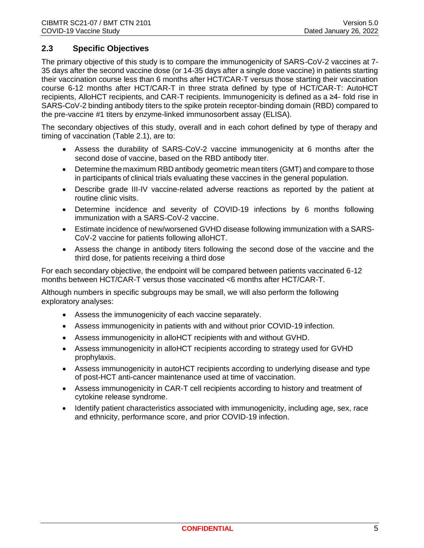## <span id="page-6-0"></span>**2.3 Specific Objectives**

The primary objective of this study is to compare the immunogenicity of SARS-CoV-2 vaccines at 7- 35 days after the second vaccine dose (or 14-35 days after a single dose vaccine) in patients starting their vaccination course less than 6 months after HCT/CAR-T versus those starting their vaccination course 6-12 months after HCT/CAR-T in three strata defined by type of HCT/CAR-T: AutoHCT recipients, AlloHCT recipients, and CAR-T recipients. Immunogenicity is defined as a ≥4- fold rise in SARS-CoV-2 binding antibody titers to the spike protein receptor-binding domain (RBD) compared to the pre-vaccine #1 titers by enzyme-linked immunosorbent assay (ELISA).

The secondary objectives of this study, overall and in each cohort defined by type of therapy and timing of vaccination (Table 2.1), are to:

- Assess the durability of SARS-CoV-2 vaccine immunogenicity at 6 months after the second dose of vaccine, based on the RBD antibody titer.
- Determine the maximum RBD antibody geometric mean titers (GMT) and compare to those in participants of clinical trials evaluating these vaccines in the general population.
- Describe grade III-IV vaccine-related adverse reactions as reported by the patient at routine clinic visits.
- Determine incidence and severity of COVID-19 infections by 6 months following immunization with a SARS-CoV-2 vaccine.
- Estimate incidence of new/worsened GVHD disease following immunization with a SARS-CoV-2 vaccine for patients following alloHCT.
- Assess the change in antibody titers following the second dose of the vaccine and the third dose, for patients receiving a third dose

For each secondary objective, the endpoint will be compared between patients vaccinated 6-12 months between HCT/CAR-T versus those vaccinated <6 months after HCT/CAR-T.

Although numbers in specific subgroups may be small, we will also perform the following exploratory analyses:

- Assess the immunogenicity of each vaccine separately.
- Assess immunogenicity in patients with and without prior COVID-19 infection.
- Assess immunogenicity in alloHCT recipients with and without GVHD.
- Assess immunogenicity in alloHCT recipients according to strategy used for GVHD prophylaxis.
- Assess immunogenicity in autoHCT recipients according to underlying disease and type of post-HCT anti-cancer maintenance used at time of vaccination.
- Assess immunogenicity in CAR-T cell recipients according to history and treatment of cytokine release syndrome.
- Identify patient characteristics associated with immunogenicity, including age, sex, race and ethnicity, performance score, and prior COVID-19 infection.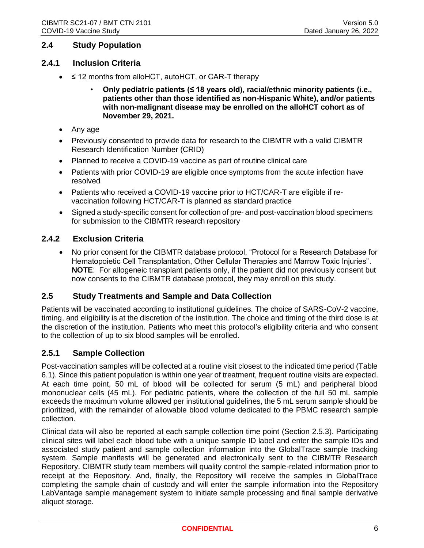#### <span id="page-7-0"></span>**2.4 Study Population**

#### <span id="page-7-1"></span>**2.4.1 Inclusion Criteria**

- ≤ 12 months from alloHCT, autoHCT, or CAR-T therapy
	- **Only pediatric patients (≤ 18 years old), racial/ethnic minority patients (i.e., patients other than those identified as non-Hispanic White), and/or patients with non-malignant disease may be enrolled on the alloHCT cohort as of November 29, 2021.**
- Any age
- Previously consented to provide data for research to the CIBMTR with a valid CIBMTR Research Identification Number (CRID)
- Planned to receive a COVID-19 vaccine as part of routine clinical care
- Patients with prior COVID-19 are eligible once symptoms from the acute infection have resolved
- Patients who received a COVID-19 vaccine prior to HCT/CAR-T are eligible if revaccination following HCT/CAR-T is planned as standard practice
- Signed a study-specific consent for collection of pre- and post-vaccination blood specimens for submission to the CIBMTR research repository

#### <span id="page-7-2"></span>**2.4.2 Exclusion Criteria**

• No prior consent for the CIBMTR database protocol, "Protocol for a Research Database for Hematopoietic Cell Transplantation, Other Cellular Therapies and Marrow Toxic Injuries". **NOTE**: For allogeneic transplant patients only, if the patient did not previously consent but now consents to the CIBMTR database protocol, they may enroll on this study.

#### <span id="page-7-3"></span>**2.5 Study Treatments and Sample and Data Collection**

Patients will be vaccinated according to institutional guidelines. The choice of SARS-CoV-2 vaccine, timing, and eligibility is at the discretion of the institution. The choice and timing of the third dose is at the discretion of the institution. Patients who meet this protocol's eligibility criteria and who consent to the collection of up to six blood samples will be enrolled.

#### <span id="page-7-4"></span>**2.5.1 Sample Collection**

Post-vaccination samples will be collected at a routine visit closest to the indicated time period (Table 6.1). Since this patient population is within one year of treatment, frequent routine visits are expected. At each time point, 50 mL of blood will be collected for serum (5 mL) and peripheral blood mononuclear cells (45 mL). For pediatric patients, where the collection of the full 50 mL sample exceeds the maximum volume allowed per institutional guidelines, the 5 mL serum sample should be prioritized, with the remainder of allowable blood volume dedicated to the PBMC research sample collection.

Clinical data will also be reported at each sample collection time point (Section 2.5.3). Participating clinical sites will label each blood tube with a unique sample ID label and enter the sample IDs and associated study patient and sample collection information into the GlobalTrace sample tracking system. Sample manifests will be generated and electronically sent to the CIBMTR Research Repository. CIBMTR study team members will quality control the sample-related information prior to receipt at the Repository. And, finally, the Repository will receive the samples in GlobalTrace completing the sample chain of custody and will enter the sample information into the Repository LabVantage sample management system to initiate sample processing and final sample derivative aliquot storage.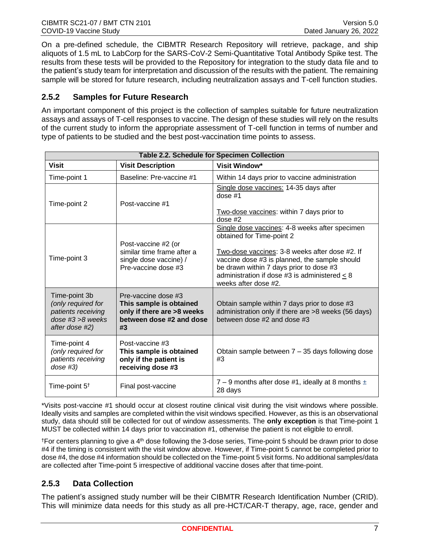On a pre-defined schedule, the CIBMTR Research Repository will retrieve, package, and ship aliquots of 1.5 mL to LabCorp for the SARS-CoV-2 Semi-Quantitative Total Antibody Spike test. The results from these tests will be provided to the Repository for integration to the study data file and to the patient's study team for interpretation and discussion of the results with the patient. The remaining sample will be stored for future research, including neutralization assays and T-cell function studies.

# <span id="page-8-0"></span>**2.5.2 Samples for Future Research**

An important component of this project is the collection of samples suitable for future neutralization assays and assays of T-cell responses to vaccine. The design of these studies will rely on the results of the current study to inform the appropriate assessment of T-cell function in terms of number and type of patients to be studied and the best post-vaccination time points to assess.

| Table 2.2. Schedule for Specimen Collection                                                        |                                                                                                                |                                                                                                                                                                                                                                                                                                         |  |  |  |  |
|----------------------------------------------------------------------------------------------------|----------------------------------------------------------------------------------------------------------------|---------------------------------------------------------------------------------------------------------------------------------------------------------------------------------------------------------------------------------------------------------------------------------------------------------|--|--|--|--|
| <b>Visit</b>                                                                                       | <b>Visit Description</b>                                                                                       | Visit Window*                                                                                                                                                                                                                                                                                           |  |  |  |  |
| Time-point 1                                                                                       | Baseline: Pre-vaccine #1                                                                                       | Within 14 days prior to vaccine administration                                                                                                                                                                                                                                                          |  |  |  |  |
| Time-point 2                                                                                       | Post-vaccine #1                                                                                                | Single dose vaccines: 14-35 days after<br>dose $#1$<br>Two-dose vaccines: within 7 days prior to<br>dose $#2$                                                                                                                                                                                           |  |  |  |  |
| Time-point 3                                                                                       | Post-vaccine #2 (or<br>similar time frame after a<br>single dose vaccine) /<br>Pre-vaccine dose #3             | Single dose vaccines: 4-8 weeks after specimen<br>obtained for Time-point 2<br>Two-dose vaccines: 3-8 weeks after dose #2. If<br>vaccine dose #3 is planned, the sample should<br>be drawn within 7 days prior to dose #3<br>administration if dose #3 is administered $\leq$ 8<br>weeks after dose #2. |  |  |  |  |
| Time-point 3b<br>(only required for<br>patients receiving<br>$dose #3 > 8$ weeks<br>after dose #2) | Pre-vaccine dose #3<br>This sample is obtained<br>only if there are >8 weeks<br>between dose #2 and dose<br>#3 | Obtain sample within 7 days prior to dose #3<br>administration only if there are >8 weeks (56 days)<br>between dose #2 and dose #3                                                                                                                                                                      |  |  |  |  |
| Time-point 4<br>(only required for<br>patients receiving<br>$dose$ #3)                             | Post-vaccine #3<br>This sample is obtained<br>only if the patient is<br>receiving dose #3                      | Obtain sample between 7 - 35 days following dose<br>#3                                                                                                                                                                                                                                                  |  |  |  |  |
| Time-point $5^{\dagger}$                                                                           | Final post-vaccine                                                                                             | 7 – 9 months after dose #1, ideally at 8 months $\pm$<br>28 days                                                                                                                                                                                                                                        |  |  |  |  |

\*Visits post-vaccine #1 should occur at closest routine clinical visit during the visit windows where possible. Ideally visits and samples are completed within the visit windows specified. However, as this is an observational study, data should still be collected for out of window assessments. The **only exception** is that Time-point 1 MUST be collected within 14 days prior to vaccination #1, otherwise the patient is not eligible to enroll.

<sup>†</sup>For centers planning to give a 4<sup>th</sup> dose following the 3-dose series, Time-point 5 should be drawn prior to dose #4 if the timing is consistent with the visit window above. However, if Time-point 5 cannot be completed prior to dose #4, the dose #4 information should be collected on the Time-point 5 visit forms. No additional samples/data are collected after Time-point 5 irrespective of additional vaccine doses after that time-point.

#### <span id="page-8-1"></span>**2.5.3 Data Collection**

The patient's assigned study number will be their CIBMTR Research Identification Number (CRID). This will minimize data needs for this study as all pre-HCT/CAR-T therapy, age, race, gender and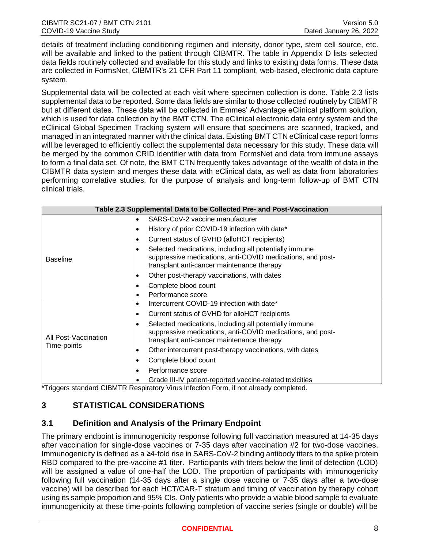details of treatment including conditioning regimen and intensity, donor type, stem cell source, etc. will be available and linked to the patient through CIBMTR. The table in Appendix D lists selected data fields routinely collected and available for this study and links to existing data forms. These data are collected in FormsNet, CIBMTR's 21 CFR Part 11 compliant, web-based, electronic data capture system.

Supplemental data will be collected at each visit where specimen collection is done. Table 2.3 lists supplemental data to be reported. Some data fields are similar to those collected routinely by CIBMTR but at different dates. These data will be collected in Emmes' Advantage eClinical platform solution, which is used for data collection by the BMT CTN. The eClinical electronic data entry system and the eClinical Global Specimen Tracking system will ensure that specimens are scanned, tracked, and managed in an integrated manner with the clinical data. Existing BMT CTN eClinical case report forms will be leveraged to efficiently collect the supplemental data necessary for this study. These data will be merged by the common CRID identifier with data from FormsNet and data from immune assays to form a final data set. Of note, the BMT CTN frequently takes advantage of the wealth of data in the CIBMTR data system and merges these data with eClinical data, as well as data from laboratories performing correlative studies, for the purpose of analysis and long-term follow-up of BMT CTN clinical trials.

| Table 2.3 Supplemental Data to be Collected Pre- and Post-Vaccination |                                                                                                                                                                         |  |  |  |  |
|-----------------------------------------------------------------------|-------------------------------------------------------------------------------------------------------------------------------------------------------------------------|--|--|--|--|
|                                                                       | SARS-CoV-2 vaccine manufacturer<br>$\bullet$                                                                                                                            |  |  |  |  |
|                                                                       | History of prior COVID-19 infection with date*                                                                                                                          |  |  |  |  |
|                                                                       | Current status of GVHD (alloHCT recipients)<br>٠                                                                                                                        |  |  |  |  |
| <b>Baseline</b>                                                       | Selected medications, including all potentially immune<br>٠<br>suppressive medications, anti-COVID medications, and post-<br>transplant anti-cancer maintenance therapy |  |  |  |  |
|                                                                       | Other post-therapy vaccinations, with dates                                                                                                                             |  |  |  |  |
|                                                                       | Complete blood count                                                                                                                                                    |  |  |  |  |
|                                                                       | Performance score                                                                                                                                                       |  |  |  |  |
|                                                                       | Intercurrent COVID-19 infection with date*<br>٠                                                                                                                         |  |  |  |  |
|                                                                       | Current status of GVHD for alloHCT recipients<br>٠                                                                                                                      |  |  |  |  |
| All Post-Vaccination                                                  | Selected medications, including all potentially immune<br>suppressive medications, anti-COVID medications, and post-<br>transplant anti-cancer maintenance therapy      |  |  |  |  |
| Time-points                                                           | Other intercurrent post-therapy vaccinations, with dates                                                                                                                |  |  |  |  |
|                                                                       | Complete blood count                                                                                                                                                    |  |  |  |  |
|                                                                       | Performance score<br>٠                                                                                                                                                  |  |  |  |  |
| $\sim$ $\sim$<br>1.7171777                                            | Grade III-IV patient-reported vaccine-related toxicities<br>.                                                                                                           |  |  |  |  |

\*Triggers standard CIBMTR Respiratory Virus Infection Form, if not already completed.

# <span id="page-9-0"></span>**3 STATISTICAL CONSIDERATIONS**

#### <span id="page-9-1"></span>**3.1 Definition and Analysis of the Primary Endpoint**

The primary endpoint is immunogenicity response following full vaccination measured at 14-35 days after vaccination for single-dose vaccines or 7-35 days after vaccination #2 for two-dose vaccines. Immunogenicity is defined as a ≥4-fold rise in SARS-CoV-2 binding antibody titers to the spike protein RBD compared to the pre-vaccine #1 titer. Participants with titers below the limit of detection (LOD) will be assigned a value of one-half the LOD. The proportion of participants with immunogenicity following full vaccination (14-35 days after a single dose vaccine or 7-35 days after a two-dose vaccine) will be described for each HCT/CAR-T stratum and timing of vaccination by therapy cohort using its sample proportion and 95% CIs. Only patients who provide a viable blood sample to evaluate immunogenicity at these time-points following completion of vaccine series (single or double) will be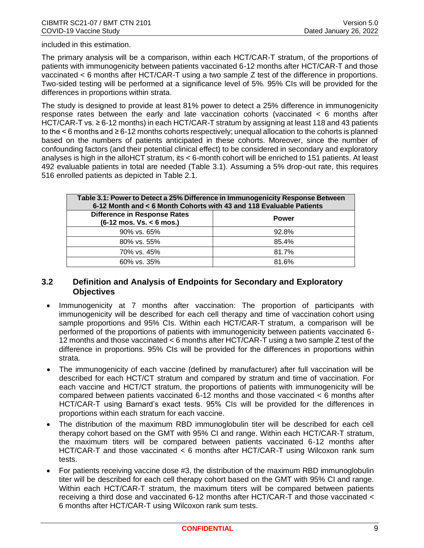included in this estimation.

The primary analysis will be a comparison, within each HCT/CAR-T stratum, of the proportions of patients with immunogenicity between patients vaccinated 6-12 months after HCT/CAR-T and those vaccinated < 6 months after HCT/CAR-T using a two sample Z test of the difference in proportions. Two-sided testing will be performed at a significance level of 5%. 95% CIs will be provided for the differences in proportions within strata.

The study is designed to provide at least 81% power to detect a 25% difference in immunogenicity response rates between the early and late vaccination cohorts (vaccinated < 6 months after HCT/CAR-T vs. ≥ 6-12 months) in each HCT/CAR-T stratum by assigning at least 118 and 43 patients to the < 6 months and ≥ 6-12 months cohorts respectively; unequal allocation to the cohorts is planned based on the numbers of patients anticipated in these cohorts. Moreover, since the number of confounding factors (and their potential clinical effect) to be considered in secondary and exploratory analyses is high in the alloHCT stratum, its < 6-month cohort will be enriched to 151 patients. At least 492 evaluable patients in total are needed (Table 3.1). Assuming a 5% drop-out rate, this requires 516 enrolled patients as depicted in Table 2.1.

| Table 3.1: Power to Detect a 25% Difference in Immunogenicity Response Between<br>6-12 Month and < 6 Month Cohorts with 43 and 118 Evaluable Patients |              |  |  |  |
|-------------------------------------------------------------------------------------------------------------------------------------------------------|--------------|--|--|--|
| <b>Difference in Response Rates</b><br>$(6-12 \text{ mos. Vs.} < 6 \text{mos.})$                                                                      | <b>Power</b> |  |  |  |
| 90% vs. 65%                                                                                                                                           | 92.8%        |  |  |  |
| 80% vs. 55%                                                                                                                                           | 85.4%        |  |  |  |
| 70% vs. 45%                                                                                                                                           | 81.7%        |  |  |  |
| $60\%$ vs. 35%                                                                                                                                        | 81.6%        |  |  |  |

#### <span id="page-10-0"></span>**3.2 Definition and Analysis of Endpoints for Secondary and Exploratory Objectives**

- Immunogenicity at 7 months after vaccination: The proportion of participants with immunogenicity will be described for each cell therapy and time of vaccination cohort using sample proportions and 95% CIs. Within each HCT/CAR-T stratum, a comparison will be performed of the proportions of patients with immunogenicity between patients vaccinated 6- 12 months and those vaccinated < 6 months after HCT/CAR-T using a two sample Z test of the difference in proportions. 95% CIs will be provided for the differences in proportions within strata.
- The immunogenicity of each vaccine (defined by manufacturer) after full vaccination will be described for each HCT/CT stratum and compared by stratum and time of vaccination. For each vaccine and HCT/CT stratum, the proportions of patients with immunogenicity will be compared between patients vaccinated 6-12 months and those vaccinated < 6 months after HCT/CAR-T using Barnard's exact tests. 95% CIs will be provided for the differences in proportions within each stratum for each vaccine.
- The distribution of the maximum RBD immunoglobulin titer will be described for each cell therapy cohort based on the GMT with 95% CI and range. Within each HCT/CAR-T stratum, the maximum titers will be compared between patients vaccinated 6-12 months after HCT/CAR-T and those vaccinated < 6 months after HCT/CAR-T using Wilcoxon rank sum tests.
- For patients receiving vaccine dose #3, the distribution of the maximum RBD immunoglobulin titer will be described for each cell therapy cohort based on the GMT with 95% CI and range. Within each HCT/CAR-T stratum, the maximum titers will be compared between patients receiving a third dose and vaccinated 6-12 months after HCT/CAR-T and those vaccinated < 6 months after HCT/CAR-T using Wilcoxon rank sum tests.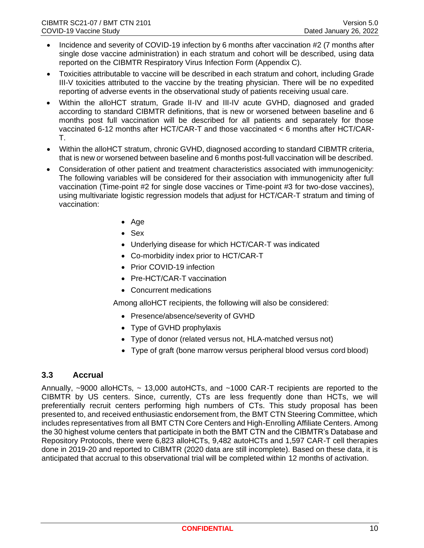- Incidence and severity of COVID-19 infection by 6 months after vaccination #2 (7 months after single dose vaccine administration) in each stratum and cohort will be described, using data reported on the CIBMTR Respiratory Virus Infection Form (Appendix C).
- Toxicities attributable to vaccine will be described in each stratum and cohort, including Grade III-V toxicities attributed to the vaccine by the treating physician. There will be no expedited reporting of adverse events in the observational study of patients receiving usual care.
- Within the alloHCT stratum, Grade II-IV and III-IV acute GVHD, diagnosed and graded according to standard CIBMTR definitions, that is new or worsened between baseline and 6 months post full vaccination will be described for all patients and separately for those vaccinated 6-12 months after HCT/CAR-T and those vaccinated < 6 months after HCT/CAR-T.
- Within the alloHCT stratum, chronic GVHD, diagnosed according to standard CIBMTR criteria, that is new or worsened between baseline and 6 months post-full vaccination will be described.
- Consideration of other patient and treatment characteristics associated with immunogenicity: The following variables will be considered for their association with immunogenicity after full vaccination (Time-point #2 for single dose vaccines or Time-point #3 for two-dose vaccines), using multivariate logistic regression models that adjust for HCT/CAR-T stratum and timing of vaccination:
	- Age
	- Sex
	- Underlying disease for which HCT/CAR-T was indicated
	- Co-morbidity index prior to HCT/CAR-T
	- Prior COVID-19 infection
	- Pre-HCT/CAR-T vaccination
	- Concurrent medications

Among alloHCT recipients, the following will also be considered:

- Presence/absence/severity of GVHD
- Type of GVHD prophylaxis
- Type of donor (related versus not, HLA-matched versus not)
- Type of graft (bone marrow versus peripheral blood versus cord blood)

#### <span id="page-11-0"></span>**3.3 Accrual**

Annually, ~9000 alloHCTs, ~ 13,000 autoHCTs, and ~1000 CAR-T recipients are reported to the CIBMTR by US centers. Since, currently, CTs are less frequently done than HCTs, we will preferentially recruit centers performing high numbers of CTs. This study proposal has been presented to, and received enthusiastic endorsement from, the BMT CTN Steering Committee, which includes representatives from all BMT CTN Core Centers and High-Enrolling Affiliate Centers. Among the 30 highest volume centers that participate in both the BMT CTN and the CIBMTR's Database and Repository Protocols, there were 6,823 alloHCTs, 9,482 autoHCTs and 1,597 CAR-T cell therapies done in 2019-20 and reported to CIBMTR (2020 data are still incomplete). Based on these data, it is anticipated that accrual to this observational trial will be completed within 12 months of activation.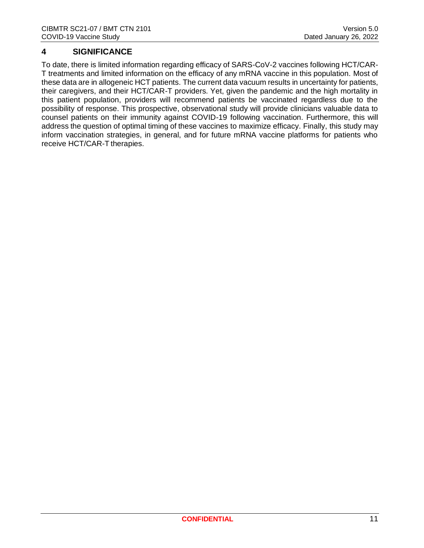## <span id="page-12-0"></span>**4 SIGNIFICANCE**

To date, there is limited information regarding efficacy of SARS-CoV-2 vaccines following HCT/CAR-T treatments and limited information on the efficacy of any mRNA vaccine in this population. Most of these data are in allogeneic HCT patients. The current data vacuum results in uncertainty for patients, their caregivers, and their HCT/CAR-T providers. Yet, given the pandemic and the high mortality in this patient population, providers will recommend patients be vaccinated regardless due to the possibility of response. This prospective, observational study will provide clinicians valuable data to counsel patients on their immunity against COVID-19 following vaccination. Furthermore, this will address the question of optimal timing of these vaccines to maximize efficacy. Finally, this study may inform vaccination strategies, in general, and for future mRNA vaccine platforms for patients who receive HCT/CAR-T therapies.